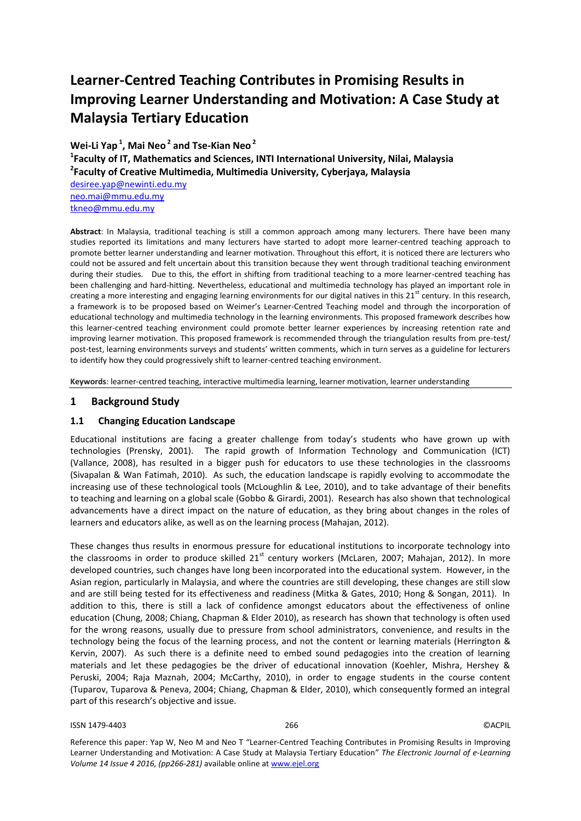# **Learner-Centred Teaching Contributes in Promising Results in Improving Learner Understanding and Motivation: A Case Study at Malaysia Tertiary Education**

**Wei-Li Yap <sup>1</sup> , Mai Neo <sup>2</sup> and Tse-Kian Neo <sup>2</sup>**

**1 Faculty of IT, Mathematics and Sciences, INTI International University, Nilai, Malaysia 2 Faculty of Creative Multimedia, Multimedia University, Cyberjaya, Malaysia**

<desiree.yap@newinti.edu.my> <neo.mai@mmu.edu.my> [tkneo@mmu.edu.my](tkneo@mmu.edu.my%20)

**Abstract**: In Malaysia, traditional teaching is still a common approach among many lecturers. There have been many studies reported its limitations and many lecturers have started to adopt more learner-centred teaching approach to promote better learner understanding and learner motivation. Throughout this effort, it is noticed there are lecturers who could not be assured and felt uncertain about this transition because they went through traditional teaching environment during their studies. Due to this, the effort in shifting from traditional teaching to a more learner-centred teaching has been challenging and hard-hitting. Nevertheless, educational and multimedia technology has played an important role in creating a more interesting and engaging learning environments for our digital natives in this  $21<sup>st</sup>$  century. In this research, a framework is to be proposed based on Weimer's Learner-Centred Teaching model and through the incorporation of educational technology and multimedia technology in the learning environments. This proposed framework describes how this learner-centred teaching environment could promote better learner experiences by increasing retention rate and improving learner motivation. This proposed framework is recommended through the triangulation results from pre-test/ post-test, learning environments surveys and students' written comments, which in turn serves as a guideline for lecturers to identify how they could progressively shift to learner-centred teaching environment.

**Keywords**: learner-centred teaching, interactive multimedia learning, learner motivation, learner understanding

## **1 Background Study**

## **1.1 Changing Education Landscape**

Educational institutions are facing a greater challenge from today's students who have grown up with technologies (Prensky, 2001). The rapid growth of Information Technology and Communication (ICT) (Vallance, 2008), has resulted in a bigger push for educators to use these technologies in the classrooms (Sivapalan & Wan Fatimah, 2010). As such, the education landscape is rapidly evolving to accommodate the increasing use of these technological tools (McLoughlin & Lee, 2010), and to take advantage of their benefits to teaching and learning on a global scale (Gobbo & Girardi, 2001). Research has also shown that technological advancements have a direct impact on the nature of education, as they bring about changes in the roles of learners and educators alike, as well as on the learning process (Mahajan, 2012).

These changes thus results in enormous pressure for educational institutions to incorporate technology into the classrooms in order to produce skilled  $21<sup>st</sup>$  century workers (McLaren, 2007; Mahajan, 2012). In more developed countries, such changes have long been incorporated into the educational system. However, in the Asian region, particularly in Malaysia, and where the countries are still developing, these changes are still slow and are still being tested for its effectiveness and readiness (Mitka & Gates, 2010; Hong & Songan, 2011). In addition to this, there is still a lack of confidence amongst educators about the effectiveness of online education (Chung, 2008; Chiang, Chapman & Elder 2010), as research has shown that technology is often used for the wrong reasons, usually due to pressure from school administrators, convenience, and results in the technology being the focus of the learning process, and not the content or learning materials (Herrington & Kervin, 2007). As such there is a definite need to embed sound pedagogies into the creation of learning materials and let these pedagogies be the driver of educational innovation (Koehler, Mishra, Hershey & Peruski, 2004; Raja Maznah, 2004; McCarthy, 2010), in order to engage students in the course content (Tuparov, Tuparova & Peneva, 2004; Chiang, Chapman & Elder, 2010), which consequently formed an integral part of this research's objective and issue.

#### ISSN 1479-4403 266 ©ACPIL

Reference this paper: Yap W, Neo M and Neo T "Learner-Centred Teaching Contributes in Promising Results in Improving Learner Understanding and Motivation: A Case Study at Malaysia Tertiary Education" *The Electronic Journal of e-Learning Volume 14 Issue 4 2016, (pp266-281)* available online at www.ejel.org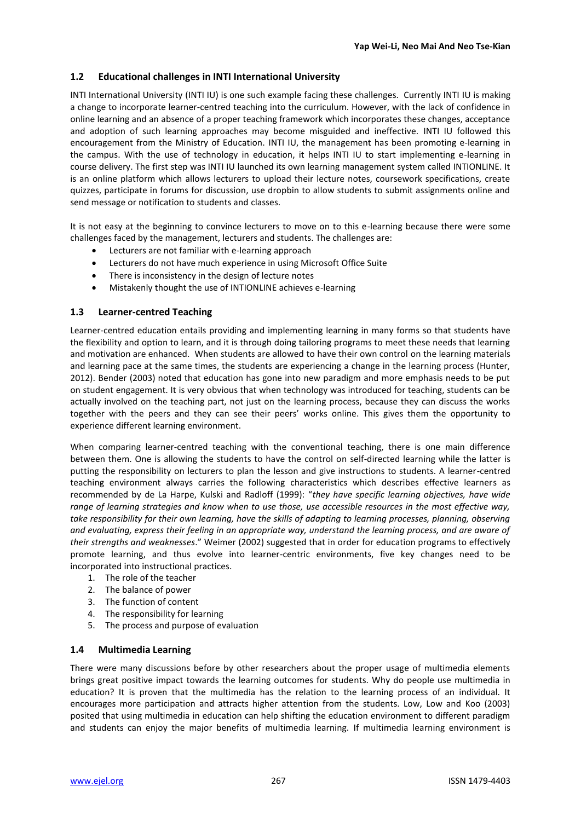## **1.2 Educational challenges in INTI International University**

INTI International University (INTI IU) is one such example facing these challenges. Currently INTI IU is making a change to incorporate learner-centred teaching into the curriculum. However, with the lack of confidence in online learning and an absence of a proper teaching framework which incorporates these changes, acceptance and adoption of such learning approaches may become misguided and ineffective. INTI IU followed this encouragement from the Ministry of Education. INTI IU, the management has been promoting e-learning in the campus. With the use of technology in education, it helps INTI IU to start implementing e-learning in course delivery. The first step was INTI IU launched its own learning management system called INTIONLINE. It is an online platform which allows lecturers to upload their lecture notes, coursework specifications, create quizzes, participate in forums for discussion, use dropbin to allow students to submit assignments online and send message or notification to students and classes.

It is not easy at the beginning to convince lecturers to move on to this e-learning because there were some challenges faced by the management, lecturers and students. The challenges are:

- Lecturers are not familiar with e-learning approach
- Lecturers do not have much experience in using Microsoft Office Suite
- There is inconsistency in the design of lecture notes
- Mistakenly thought the use of INTIONLINE achieves e-learning

## **1.3 Learner-centred Teaching**

Learner-centred education entails providing and implementing learning in many forms so that students have the flexibility and option to learn, and it is through doing tailoring programs to meet these needs that learning and motivation are enhanced. When students are allowed to have their own control on the learning materials and learning pace at the same times, the students are experiencing a change in the learning process (Hunter, 2012). Bender (2003) noted that education has gone into new paradigm and more emphasis needs to be put on student engagement. It is very obvious that when technology was introduced for teaching, students can be actually involved on the teaching part, not just on the learning process, because they can discuss the works together with the peers and they can see their peers' works online. This gives them the opportunity to experience different learning environment.

When comparing learner-centred teaching with the conventional teaching, there is one main difference between them. One is allowing the students to have the control on self-directed learning while the latter is putting the responsibility on lecturers to plan the lesson and give instructions to students. A learner-centred teaching environment always carries the following characteristics which describes effective learners as recommended by de La Harpe, Kulski and Radloff (1999): "*they have specific learning objectives, have wide range of learning strategies and know when to use those, use accessible resources in the most effective way,*  take responsibility for their own learning, have the skills of adapting to learning processes, planning, observing *and evaluating, express their feeling in an appropriate way, understand the learning process, and are aware of their strengths and weaknesses*." Weimer (2002) suggested that in order for education programs to effectively promote learning, and thus evolve into learner-centric environments, five key changes need to be incorporated into instructional practices.

- 1. The role of the teacher
- 2. The balance of power
- 3. The function of content
- 4. The responsibility for learning
- 5. The process and purpose of evaluation

## **1.4 Multimedia Learning**

There were many discussions before by other researchers about the proper usage of multimedia elements brings great positive impact towards the learning outcomes for students. Why do people use multimedia in education? It is proven that the multimedia has the relation to the learning process of an individual. It encourages more participation and attracts higher attention from the students. Low, Low and Koo (2003) posited that using multimedia in education can help shifting the education environment to different paradigm and students can enjoy the major benefits of multimedia learning. If multimedia learning environment is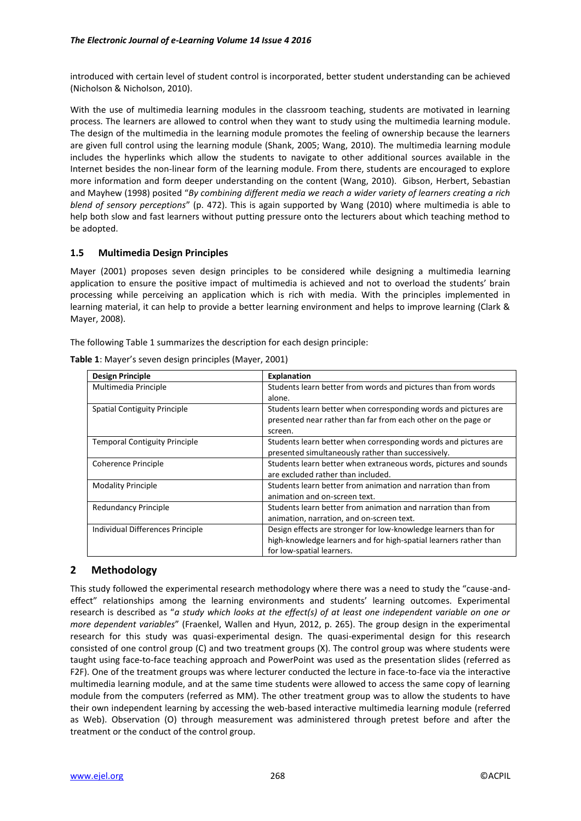introduced with certain level of student control is incorporated, better student understanding can be achieved (Nicholson & Nicholson, 2010).

With the use of multimedia learning modules in the classroom teaching, students are motivated in learning process. The learners are allowed to control when they want to study using the multimedia learning module. The design of the multimedia in the learning module promotes the feeling of ownership because the learners are given full control using the learning module (Shank, 2005; Wang, 2010). The multimedia learning module includes the hyperlinks which allow the students to navigate to other additional sources available in the Internet besides the non-linear form of the learning module. From there, students are encouraged to explore more information and form deeper understanding on the content (Wang, 2010). Gibson, Herbert, Sebastian and Mayhew (1998) posited "*By combining different media we reach a wider variety of learners creating a rich blend of sensory perceptions*" (p. 472). This is again supported by Wang (2010) where multimedia is able to help both slow and fast learners without putting pressure onto the lecturers about which teaching method to be adopted.

## **1.5 Multimedia Design Principles**

Mayer (2001) proposes seven design principles to be considered while designing a multimedia learning application to ensure the positive impact of multimedia is achieved and not to overload the students' brain processing while perceiving an application which is rich with media. With the principles implemented in learning material, it can help to provide a better learning environment and helps to improve learning (Clark & Mayer, 2008).

The following Table 1 summarizes the description for each design principle:

| <b>Design Principle</b>              | <b>Explanation</b>                                                |
|--------------------------------------|-------------------------------------------------------------------|
| Multimedia Principle                 | Students learn better from words and pictures than from words     |
|                                      | alone.                                                            |
| <b>Spatial Contiguity Principle</b>  | Students learn better when corresponding words and pictures are   |
|                                      | presented near rather than far from each other on the page or     |
|                                      | screen.                                                           |
| <b>Temporal Contiguity Principle</b> | Students learn better when corresponding words and pictures are   |
|                                      | presented simultaneously rather than successively.                |
| Coherence Principle                  | Students learn better when extraneous words, pictures and sounds  |
|                                      | are excluded rather than included.                                |
| <b>Modality Principle</b>            | Students learn better from animation and narration than from      |
|                                      | animation and on-screen text.                                     |
| <b>Redundancy Principle</b>          | Students learn better from animation and narration than from      |
|                                      | animation, narration, and on-screen text.                         |
| Individual Differences Principle     | Design effects are stronger for low-knowledge learners than for   |
|                                      | high-knowledge learners and for high-spatial learners rather than |
|                                      | for low-spatial learners.                                         |

**Table 1**: Mayer's seven design principles (Mayer, 2001)

## **2 Methodology**

This study followed the experimental research methodology where there was a need to study the "cause-andeffect" relationships among the learning environments and students' learning outcomes. Experimental research is described as "*a study which looks at the effect(s) of at least one independent variable on one or more dependent variables*" (Fraenkel, Wallen and Hyun, 2012, p. 265). The group design in the experimental research for this study was quasi-experimental design. The quasi-experimental design for this research consisted of one control group (C) and two treatment groups (X). The control group was where students were taught using face-to-face teaching approach and PowerPoint was used as the presentation slides (referred as F2F). One of the treatment groups was where lecturer conducted the lecture in face-to-face via the interactive multimedia learning module, and at the same time students were allowed to access the same copy of learning module from the computers (referred as MM). The other treatment group was to allow the students to have their own independent learning by accessing the web-based interactive multimedia learning module (referred as Web). Observation (O) through measurement was administered through pretest before and after the treatment or the conduct of the control group.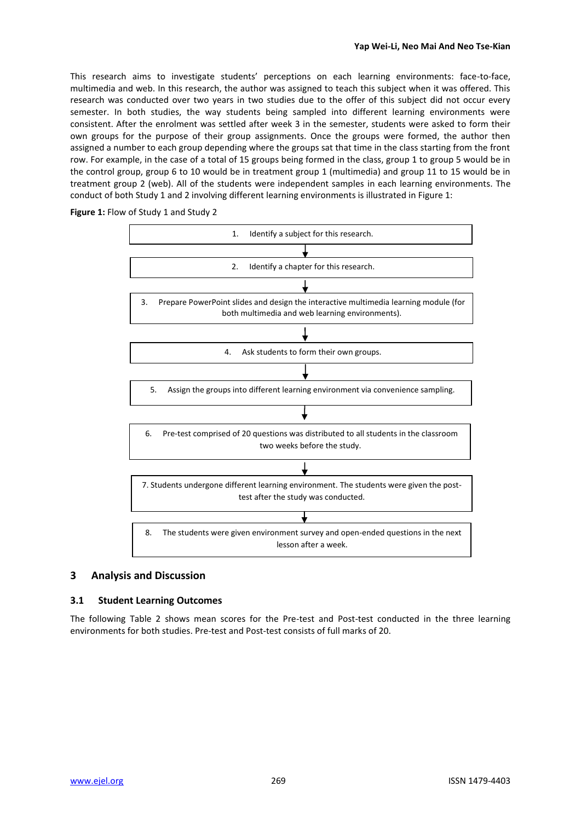This research aims to investigate students' perceptions on each learning environments: face-to-face, multimedia and web. In this research, the author was assigned to teach this subject when it was offered. This research was conducted over two years in two studies due to the offer of this subject did not occur every semester. In both studies, the way students being sampled into different learning environments were consistent. After the enrolment was settled after week 3 in the semester, students were asked to form their own groups for the purpose of their group assignments. Once the groups were formed, the author then assigned a number to each group depending where the groups sat that time in the class starting from the front row. For example, in the case of a total of 15 groups being formed in the class, group 1 to group 5 would be in the control group, group 6 to 10 would be in treatment group 1 (multimedia) and group 11 to 15 would be in treatment group 2 (web). All of the students were independent samples in each learning environments. The conduct of both Study 1 and 2 involving different learning environments is illustrated in Figure 1:

**Figure 1:** Flow of Study 1 and Study 2



## **3 Analysis and Discussion**

#### **3.1 Student Learning Outcomes**

The following Table 2 shows mean scores for the Pre-test and Post-test conducted in the three learning environments for both studies. Pre-test and Post-test consists of full marks of 20.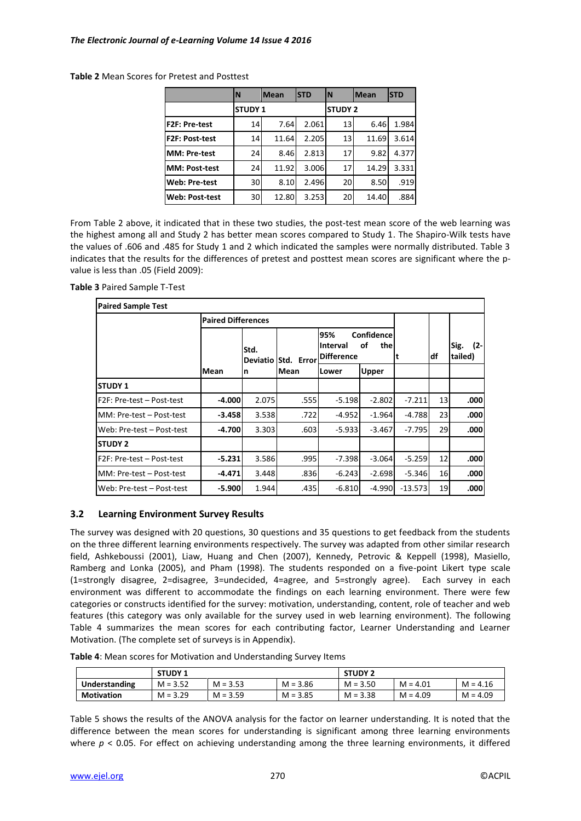|                       | N               | <b>IMean</b> | <b>STD</b> | IN             | <b>Mean</b> | <b>STD</b> |
|-----------------------|-----------------|--------------|------------|----------------|-------------|------------|
|                       | <b>STUDY 1</b>  |              |            | <b>STUDY 2</b> |             |            |
| <b>F2F: Pre-test</b>  | 14              | 7.64         | 2.061      | 13             | 6.46        | 1.984      |
| <b>F2F: Post-test</b> | 14              | 11.64        | 2.205      | 13             | 11.69       | 3.614      |
| <b>MM</b> : Pre-test  | 24              | 8.46         | 2.813      | 17             | 9.82        | 4.377      |
| <b>MM: Post-test</b>  | 24              | 11.92        | 3.006      | 17             | 14.29       | 3.331      |
| Web: Pre-test         | 30 <sup>1</sup> | 8.10         | 2.496      | 20             | 8.50        | .919       |
| <b>Web: Post-test</b> | 30 <sup>l</sup> | 12.80        | 3.253      | <b>20</b>      | 14.40       | .884       |

**Table 2** Mean Scores for Pretest and Posttest

From Table 2 above, it indicated that in these two studies, the post-test mean score of the web learning was the highest among all and Study 2 has better mean scores compared to Study 1. The Shapiro-Wilk tests have the values of .606 and .485 for Study 1 and 2 which indicated the samples were normally distributed. Table 3 indicates that the results for the differences of pretest and posttest mean scores are significant where the pvalue is less than .05 (Field 2009):

**Table 3** Paired Sample T-Test

| <b>IPaired Sample Test</b> |  |
|----------------------------|--|

| <b>Paired Sample Test</b>         |          |                           |                   |                                      |                          |           |    |                           |
|-----------------------------------|----------|---------------------------|-------------------|--------------------------------------|--------------------------|-----------|----|---------------------------|
|                                   |          | <b>Paired Differences</b> |                   |                                      |                          |           |    |                           |
|                                   |          | Std.<br>Deviatio          | <b>Std. Error</b> | 95%<br>Interval<br><b>Difference</b> | Confidence<br>οf<br>thel |           | df | Sig.<br>$(2 -$<br>tailed) |
|                                   | Mean     | n                         | Mean              | lLower                               | <b>Upper</b>             |           |    |                           |
| <b>STUDY 1</b>                    |          |                           |                   |                                      |                          |           |    |                           |
| <b>IF2F: Pre-test – Post-test</b> | $-4.000$ | 2.075                     | .555              | -5.1981                              | $-2.802$                 | $-7.211$  | 13 | .000                      |
| <b>IMM: Pre-test – Post-test</b>  | $-3.458$ | 3.538                     | .722              | $-4.952$                             | $-1.964$                 | $-4.788$  | 23 | .000                      |
| Web: Pre-test - Post-test         | $-4.700$ | 3.303                     | .603              | $-5.933$                             | $-3.467$                 | -7.795    | 29 | .000                      |
| <b>STUDY 2</b>                    |          |                           |                   |                                      |                          |           |    |                           |
| IF2F: Pre-test – Post-test        | -5.231   | 3.586                     | .995              | $-7.398$                             | $-3.064$                 | $-5.259$  | 12 | .000                      |
| <b>IMM: Pre-test – Post-test</b>  | $-4.471$ | 3.448                     | .836              | $-6.243$                             | $-2.698$                 | $-5.346$  | 16 | .000                      |
| Web: Pre-test - Post-test         | -5.900   | 1.944                     | .435              | $-6.810$                             | -4.990                   | $-13.573$ | 19 | .000                      |

## **3.2 Learning Environment Survey Results**

The survey was designed with 20 questions, 30 questions and 35 questions to get feedback from the students on the three different learning environments respectively. The survey was adapted from other similar research field, Ashkeboussi (2001), Liaw, Huang and Chen (2007), Kennedy, Petrovic & Keppell (1998), Masiello, Ramberg and Lonka (2005), and Pham (1998). The students responded on a five-point Likert type scale (1=strongly disagree, 2=disagree, 3=undecided, 4=agree, and 5=strongly agree). Each survey in each environment was different to accommodate the findings on each learning environment. There were few categories or constructs identified for the survey: motivation, understanding, content, role of teacher and web features (this category was only available for the survey used in web learning environment). The following Table 4 summarizes the mean scores for each contributing factor, Learner Understanding and Learner Motivation. (The complete set of surveys is in Appendix).

| Table 4: Mean scores for Motivation and Understanding Survey Items |
|--------------------------------------------------------------------|
|--------------------------------------------------------------------|

|                      | <b>STUDY 1</b> |            |            | <b>STUDY 2</b> |            |            |
|----------------------|----------------|------------|------------|----------------|------------|------------|
| <b>Understanding</b> | $M = 3.52$     | $M = 3.53$ | $M = 3.86$ | $M = 3.50$     | $M = 4.01$ | $M = 4.16$ |
| <b>Motivation</b>    | $M = 3.29$     | $M = 3.59$ | $M = 3.85$ | $M = 3.38$     | $M = 4.09$ | $M = 4.09$ |

Table 5 shows the results of the ANOVA analysis for the factor on learner understanding. It is noted that the difference between the mean scores for understanding is significant among three learning environments where  $p < 0.05$ . For effect on achieving understanding among the three learning environments, it differed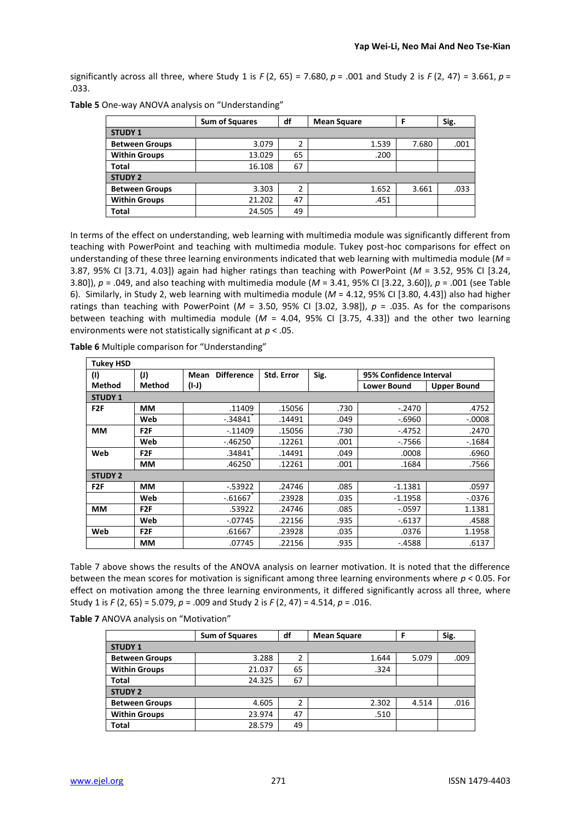significantly across all three, where Study 1 is  $F(2, 65) = 7.680$ ,  $p = .001$  and Study 2 is  $F(2, 47) = 3.661$ ,  $p =$ .033.

|                       | <b>Sum of Squares</b> | df | <b>Mean Square</b> |       | Sig. |
|-----------------------|-----------------------|----|--------------------|-------|------|
| <b>STUDY 1</b>        |                       |    |                    |       |      |
| <b>Between Groups</b> | 3.079                 |    | 1.539              | 7.680 | .001 |
| <b>Within Groups</b>  | 13.029                | 65 | .200               |       |      |
| <b>Total</b>          | 16.108                | 67 |                    |       |      |
| <b>STUDY 2</b>        |                       |    |                    |       |      |
| <b>Between Groups</b> | 3.303                 | 2  | 1.652              | 3.661 | .033 |
| <b>Within Groups</b>  | 21.202                | 47 | .451               |       |      |
| <b>Total</b>          | 24.505                | 49 |                    |       |      |

**Table 5** One-way ANOVA analysis on "Understanding"

In terms of the effect on understanding, web learning with multimedia module was significantly different from teaching with PowerPoint and teaching with multimedia module. Tukey post-hoc comparisons for effect on understanding of these three learning environments indicated that web learning with multimedia module (*M* = 3.87, 95% CI [3.71, 4.03]) again had higher ratings than teaching with PowerPoint (*M* = 3.52, 95% CI [3.24, 3.80]), *p* = .049, and also teaching with multimedia module (*M* = 3.41, 95% CI [3.22, 3.60]), *p* = .001 (see Table 6). Similarly, in Study 2, web learning with multimedia module (*M* = 4.12, 95% CI [3.80, 4.43]) also had higher ratings than teaching with PowerPoint ( $M = 3.50$ , 95% CI [3.02, 3.98]),  $p = .035$ . As for the comparisons between teaching with multimedia module (*M* = 4.04, 95% CI [3.75, 4.33]) and the other two learning environments were not statistically significant at *p* < .05.

| <b>Tukey HSD</b> |                  |                           |                   |      |                         |                    |
|------------------|------------------|---------------------------|-------------------|------|-------------------------|--------------------|
| (1)              | (I)              | <b>Difference</b><br>Mean | <b>Std. Error</b> | Sig. | 95% Confidence Interval |                    |
| <b>Method</b>    | <b>Method</b>    | (I-J)                     |                   |      | <b>Lower Bound</b>      | <b>Upper Bound</b> |
| <b>STUDY 1</b>   |                  |                           |                   |      |                         |                    |
| F <sub>2</sub> F | MМ               | .11409                    | .15056            | .730 | $-.2470$                | .4752              |
|                  | Web              | $-.34841$                 | .14491            | .049 | $-0.6960$               | $-.0008$           |
| MМ               | F <sub>2F</sub>  | $-.11409$                 | .15056            | .730 | $-.4752$                | .2470              |
|                  | Web              | $-46250$                  | .12261            | .001 | $-7566$                 | $-1684$            |
| Web              | F <sub>2</sub> F | .34841                    | .14491            | .049 | .0008                   | .6960              |
|                  | MМ               | .46250                    | .12261            | .001 | .1684                   | .7566              |
| <b>STUDY 2</b>   |                  |                           |                   |      |                         |                    |
| F <sub>2F</sub>  | MМ               | $-53922$                  | .24746            | .085 | $-1.1381$               | .0597              |
|                  | Web              | $-0.61667$                | .23928            | .035 | $-1.1958$               | $-0.0376$          |
| MМ               | F <sub>2F</sub>  | .53922                    | .24746            | .085 | $-0.597$                | 1.1381             |
|                  | Web              | $-07745$                  | .22156            | .935 | -.6137                  | .4588              |
| Web              | F <sub>2</sub> F | .61667                    | .23928            | .035 | .0376                   | 1.1958             |
|                  | MМ               | .07745                    | .22156            | .935 | $-.4588$                | .6137              |

**Table 6** Multiple comparison for "Understanding"

Table 7 above shows the results of the ANOVA analysis on learner motivation. It is noted that the difference between the mean scores for motivation is significant among three learning environments where *p* < 0.05. For effect on motivation among the three learning environments, it differed significantly across all three, where Study 1 is *F* (2, 65) = 5.079, *p* = .009 and Study 2 is *F* (2, 47) = 4.514, *p* = .016.

| Table 7 ANOVA analysis on "Motivation" |  |
|----------------------------------------|--|
|----------------------------------------|--|

|                       | <b>Sum of Squares</b> | df | <b>Mean Square</b> | F     | Sig. |
|-----------------------|-----------------------|----|--------------------|-------|------|
| <b>STUDY 1</b>        |                       |    |                    |       |      |
| <b>Between Groups</b> | 3.288                 |    | 1.644              | 5.079 | .009 |
| <b>Within Groups</b>  | 21.037                | 65 | .324               |       |      |
| <b>Total</b>          | 24.325                | 67 |                    |       |      |
| <b>STUDY 2</b>        |                       |    |                    |       |      |
| <b>Between Groups</b> | 4.605                 |    | 2.302              | 4.514 | .016 |
| <b>Within Groups</b>  | 23.974                | 47 | .510               |       |      |
| <b>Total</b>          | 28.579                | 49 |                    |       |      |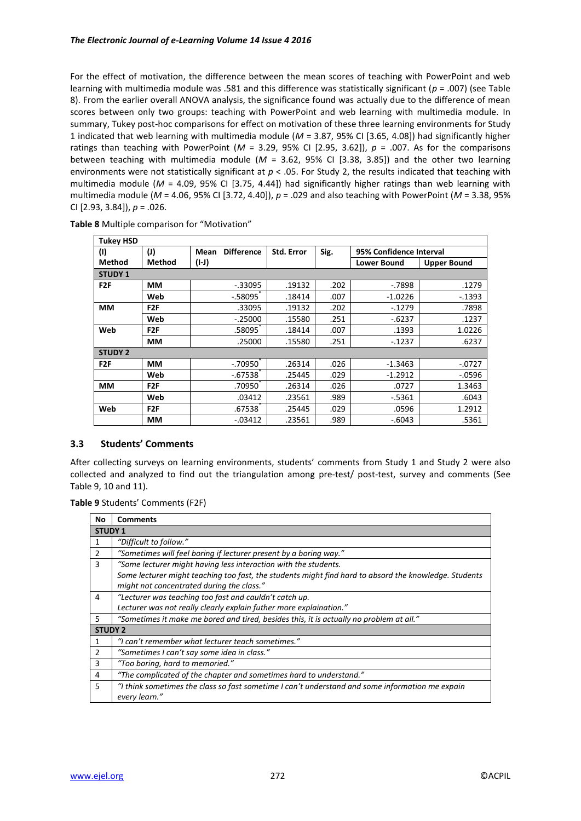For the effect of motivation, the difference between the mean scores of teaching with PowerPoint and web learning with multimedia module was .581 and this difference was statistically significant (*p* = .007) (see Table 8). From the earlier overall ANOVA analysis, the significance found was actually due to the difference of mean scores between only two groups: teaching with PowerPoint and web learning with multimedia module. In summary, Tukey post-hoc comparisons for effect on motivation of these three learning environments for Study 1 indicated that web learning with multimedia module (*M* = 3.87, 95% CI [3.65, 4.08]) had significantly higher ratings than teaching with PowerPoint ( $M = 3.29$ , 95% CI [2.95, 3.62]),  $p = .007$ . As for the comparisons between teaching with multimedia module (*M* = 3.62, 95% CI [3.38, 3.85]) and the other two learning environments were not statistically significant at  $p < .05$ . For Study 2, the results indicated that teaching with multimedia module (*M* = 4.09, 95% CI [3.75, 4.44]) had significantly higher ratings than web learning with multimedia module (*M* = 4.06, 95% CI [3.72, 4.40]), *p* = .029 and also teaching with PowerPoint (*M* = 3.38, 95% CI [2.93, 3.84]), *p* = .026.

| <b>Tukey HSD</b> |                  |                           |                   |      |                         |                    |
|------------------|------------------|---------------------------|-------------------|------|-------------------------|--------------------|
| (1)              | (I)              | <b>Difference</b><br>Mean | <b>Std. Error</b> | Sig. | 95% Confidence Interval |                    |
| <b>Method</b>    | <b>Method</b>    | $(I-J)$                   |                   |      | <b>Lower Bound</b>      | <b>Upper Bound</b> |
| <b>STUDY 1</b>   |                  |                           |                   |      |                         |                    |
| F <sub>2F</sub>  | MМ               | $-.33095$                 | .19132            | .202 | $-0.7898$               | .1279              |
|                  | Web              | $-0.58095$                | .18414            | .007 | $-1.0226$               | $-.1393$           |
| MМ               | F <sub>2</sub> F | .33095                    | .19132            | .202 | $-.1279$                | .7898              |
|                  | Web              | $-.25000$                 | .15580            | .251 | $-.6237$                | .1237              |
| Web              | F <sub>2F</sub>  | .58095                    | .18414            | .007 | .1393                   | 1.0226             |
|                  | MМ               | .25000                    | .15580            | .251 | $-.1237$                | .6237              |
| <b>STUDY 2</b>   |                  |                           |                   |      |                         |                    |
| F <sub>2F</sub>  | MМ               | $-0.70950$                | .26314            | .026 | $-1.3463$               | $-.0727$           |
|                  | Web              | $-0.67538$                | .25445            | .029 | $-1.2912$               | $-0.0596$          |
| MМ               | F <sub>2F</sub>  | .70950                    | .26314            | .026 | .0727                   | 1.3463             |
|                  | Web              | .03412                    | .23561            | .989 | -.5361                  | .6043              |
| Web              | F <sub>2F</sub>  | .67538                    | .25445            | .029 | .0596                   | 1.2912             |
|                  | MМ               | $-0.03412$                | .23561            | .989 | $-.6043$                | .5361              |

**Table 8** Multiple comparison for "Motivation"

## **3.3 Students' Comments**

After collecting surveys on learning environments, students' comments from Study 1 and Study 2 were also collected and analyzed to find out the triangulation among pre-test/ post-test, survey and comments (See Table 9, 10 and 11).

**Table 9** Students' Comments (F2F)

| No             | <b>Comments</b>                                                                                       |
|----------------|-------------------------------------------------------------------------------------------------------|
| <b>STUDY 1</b> |                                                                                                       |
| 1              | "Difficult to follow."                                                                                |
| 2              | "Sometimes will feel boring if lecturer present by a boring way."                                     |
| 3              | "Some lecturer might having less interaction with the students.                                       |
|                | Some lecturer might teaching too fast, the students might find hard to absord the knowledge. Students |
|                | might not concentrated during the class."                                                             |
| 4              | "Lecturer was teaching too fast and cauldn't catch up.                                                |
|                | Lecturer was not really clearly explain futher more explaination."                                    |
| 5.             | "Sometimes it make me bored and tired, besides this, it is actually no problem at all."               |
| <b>STUDY 2</b> |                                                                                                       |
| 1              | "I can't remember what lecturer teach sometimes."                                                     |
| $\overline{2}$ | "Sometimes I can't say some idea in class."                                                           |
| 3              | "Too boring, hard to memoried."                                                                       |
| 4              | "The complicated of the chapter and sometimes hard to understand."                                    |
| 5              | "I think sometimes the class so fast sometime I can't understand and some information me expain       |
|                | every learn."                                                                                         |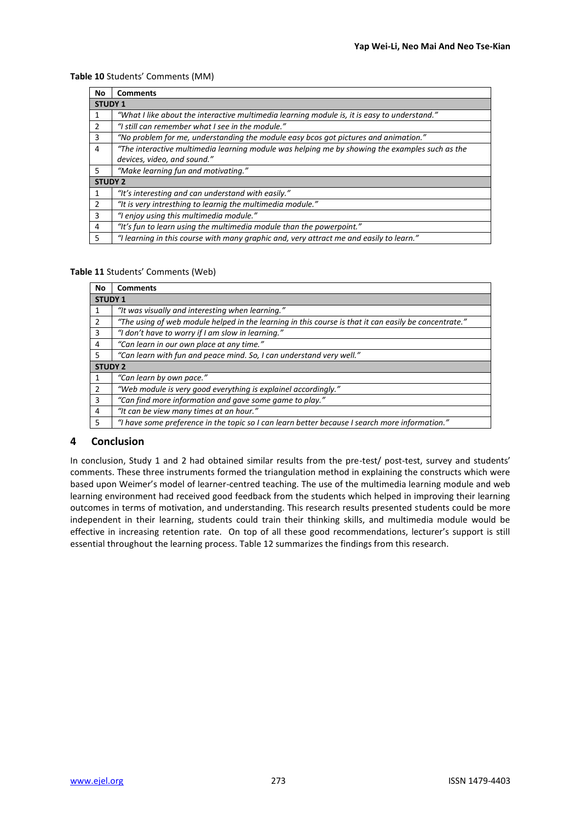## **Table 10** Students' Comments (MM)

| No             | <b>Comments</b>                                                                                |  |  |  |  |
|----------------|------------------------------------------------------------------------------------------------|--|--|--|--|
|                | <b>STUDY 1</b>                                                                                 |  |  |  |  |
| 1              | "What I like about the interactive multimedia learning module is, it is easy to understand."   |  |  |  |  |
| 2              | "I still can remember what I see in the module."                                               |  |  |  |  |
| 3              | "No problem for me, understanding the module easy bcos got pictures and animation."            |  |  |  |  |
| 4              | "The interactive multimedia learning module was helping me by showing the examples such as the |  |  |  |  |
|                | devices, video, and sound."                                                                    |  |  |  |  |
| 5              | "Make learning fun and motivating."                                                            |  |  |  |  |
| <b>STUDY 2</b> |                                                                                                |  |  |  |  |
| 1              | "It's interesting and can understand with easily."                                             |  |  |  |  |
| 2              | "It is very intresthing to learnig the multimedia module."                                     |  |  |  |  |
| 3              | "I enjoy using this multimedia module."                                                        |  |  |  |  |
| 4              | "It's fun to learn using the multimedia module than the powerpoint."                           |  |  |  |  |
| 5              | "I learning in this course with many graphic and, very attract me and easily to learn."        |  |  |  |  |

### **Table 11** Students' Comments (Web)

| No             | <b>Comments</b>                                                                                       |  |  |  |  |
|----------------|-------------------------------------------------------------------------------------------------------|--|--|--|--|
|                | <b>STUDY 1</b>                                                                                        |  |  |  |  |
|                | "It was visually and interesting when learning."                                                      |  |  |  |  |
| 2              | "The using of web module helped in the learning in this course is that it can easily be concentrate." |  |  |  |  |
| 3              | "I don't have to worry if I am slow in learning."                                                     |  |  |  |  |
| 4              | "Can learn in our own place at any time."                                                             |  |  |  |  |
| 5              | "Can learn with fun and peace mind. So, I can understand very well."                                  |  |  |  |  |
| <b>STUDY 2</b> |                                                                                                       |  |  |  |  |
|                | "Can learn by own pace."                                                                              |  |  |  |  |
| $\mathcal{P}$  | "Web module is very good everything is explainel accordingly."                                        |  |  |  |  |
| 3              | "Can find more information and gave some game to play."                                               |  |  |  |  |
| $\overline{4}$ | "It can be view many times at an hour."                                                               |  |  |  |  |
| 5              | "I have some preference in the topic so I can learn better because I search more information."        |  |  |  |  |

## **4 Conclusion**

In conclusion, Study 1 and 2 had obtained similar results from the pre-test/ post-test, survey and students' comments. These three instruments formed the triangulation method in explaining the constructs which were based upon Weimer's model of learner-centred teaching. The use of the multimedia learning module and web learning environment had received good feedback from the students which helped in improving their learning outcomes in terms of motivation, and understanding. This research results presented students could be more independent in their learning, students could train their thinking skills, and multimedia module would be effective in increasing retention rate. On top of all these good recommendations, lecturer's support is still essential throughout the learning process. Table 12 summarizes the findings from this research.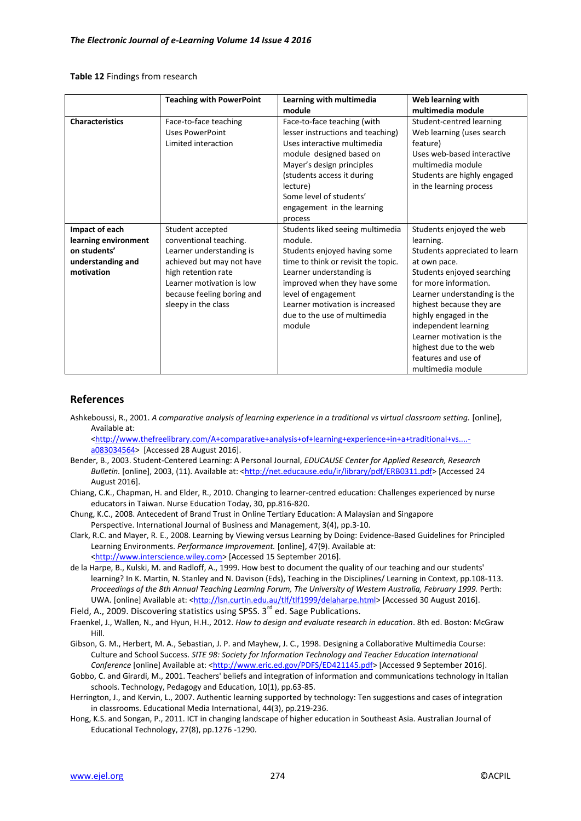#### **Table 12** Findings from research

|                                                                                           | <b>Teaching with PowerPoint</b>                                                                                                                                                                              | Learning with multimedia                                                                                                                                                                                                                                                           | Web learning with                                                                                                                                                                                                                                                                                                                                             |
|-------------------------------------------------------------------------------------------|--------------------------------------------------------------------------------------------------------------------------------------------------------------------------------------------------------------|------------------------------------------------------------------------------------------------------------------------------------------------------------------------------------------------------------------------------------------------------------------------------------|---------------------------------------------------------------------------------------------------------------------------------------------------------------------------------------------------------------------------------------------------------------------------------------------------------------------------------------------------------------|
|                                                                                           |                                                                                                                                                                                                              | module                                                                                                                                                                                                                                                                             | multimedia module                                                                                                                                                                                                                                                                                                                                             |
| <b>Characteristics</b>                                                                    | Face-to-face teaching<br><b>Uses PowerPoint</b><br>Limited interaction                                                                                                                                       | Face-to-face teaching (with<br>lesser instructions and teaching)<br>Uses interactive multimedia<br>module designed based on<br>Mayer's design principles<br>(students access it during<br>lecture)<br>Some level of students'<br>engagement in the learning<br>process             | Student-centred learning<br>Web learning (uses search<br>feature)<br>Uses web-based interactive<br>multimedia module<br>Students are highly engaged<br>in the learning process                                                                                                                                                                                |
| Impact of each<br>learning environment<br>on students'<br>understanding and<br>motivation | Student accepted<br>conventional teaching.<br>Learner understanding is<br>achieved but may not have<br>high retention rate<br>Learner motivation is low<br>because feeling boring and<br>sleepy in the class | Students liked seeing multimedia<br>module.<br>Students enjoyed having some<br>time to think or revisit the topic.<br>Learner understanding is<br>improved when they have some<br>level of engagement<br>Learner motivation is increased<br>due to the use of multimedia<br>module | Students enjoyed the web<br>learning.<br>Students appreciated to learn<br>at own pace.<br>Students enjoyed searching<br>for more information.<br>Learner understanding is the<br>highest because they are<br>highly engaged in the<br>independent learning<br>Learner motivation is the<br>highest due to the web<br>features and use of<br>multimedia module |

## **References**

Ashkeboussi, R., 2001. *A comparative analysis of learning experience in a traditional vs virtual classroom setting.* [online], Available at:

[<http://www.thefreelibrary.com/A+comparative+analysis+of+learning+experience+in+a+traditional+vs....](http://www.thefreelibrary.com/A+comparative+analysis+of+learning+experience+in+a+traditional+vs....-a083034564) [a083034564>](http://www.thefreelibrary.com/A+comparative+analysis+of+learning+experience+in+a+traditional+vs....-a083034564) [Accessed 28 August 2016].

- Bender, B., 2003. Student-Centered Learning: A Personal Journal, *EDUCAUSE Center for Applied Research, Research Bulletin.* [online], 2003, (11). Available at: [<http://net.educause.edu/ir/library/pdf/ERB0311.pdf>](http://net.educause.edu/ir/library/pdf/ERB0311.pdf) [Accessed 24 August 2016].
- Chiang, C.K., Chapman, H. and Elder, R., 2010. Changing to learner-centred education: Challenges experienced by nurse educators in Taiwan. Nurse Education Today, 30, pp.816-820.
- Chung, K.C., 2008. Antecedent of Brand Trust in Online Tertiary Education: A Malaysian and Singapore Perspective. International Journal of Business and Management, 3(4), pp.3-10.
- Clark, R.C. and Mayer, R. E., 2008. Learning by Viewing versus Learning by Doing: Evidence-Based Guidelines for Principled Learning Environments. *Performance Improvement.* [online], 47(9). Available at: [<http://www.interscience.wiley.com>](http://www.interscience.wiley.com/) [Accessed 15 September 2016].
- de la Harpe, B., Kulski, M. and Radloff, A., 1999. How best to document the quality of our teaching and our students' learning? In K. Martin, N. Stanley and N. Davison (Eds), Teaching in the Disciplines/ Learning in Context, pp.108-113. *Proceedings of the 8th Annual Teaching Learning Forum, The University of Western Australia, February 1999.* Perth: UWA. [online] Available at: [<http://lsn.curtin.edu.au/tlf/tlf1999/delaharpe.html>](http://lsn.curtin.edu.au/tlf/tlf1999/delaharpe.html) [Accessed 30 August 2016].
- Field, A., 2009. Discovering statistics using SPSS.  $3^{rd}$  ed. Sage Publications.
- Fraenkel, J., Wallen, N., and Hyun, H.H., 2012. *How to design and evaluate research in education*. 8th ed. Boston: McGraw Hill.
- Gibson, G. M., Herbert, M. A., Sebastian, J. P. and Mayhew, J. C., 1998. Designing a Collaborative Multimedia Course: Culture and School Success. *SITE 98: Society for Information Technology and Teacher Education International*  Conference [online] Available at: [<http://www.eric.ed.gov/PDFS/ED421145.pdf>](http://www.eric.ed.gov/PDFS/ED421145.pdf) [Accessed 9 September 2016].
- Gobbo, C. and Girardi, M., 2001. Teachers' beliefs and integration of information and communications technology in Italian schools. Technology, Pedagogy and Education, 10(1), pp.63-85.
- Herrington, J., and Kervin, L., 2007. Authentic learning supported by technology: Ten suggestions and cases of integration in classrooms. Educational Media International, 44(3), pp.219-236.
- Hong, K.S. and Songan, P., 2011. ICT in changing landscape of higher education in Southeast Asia. Australian Journal of Educational Technology, 27(8), pp.1276 -1290.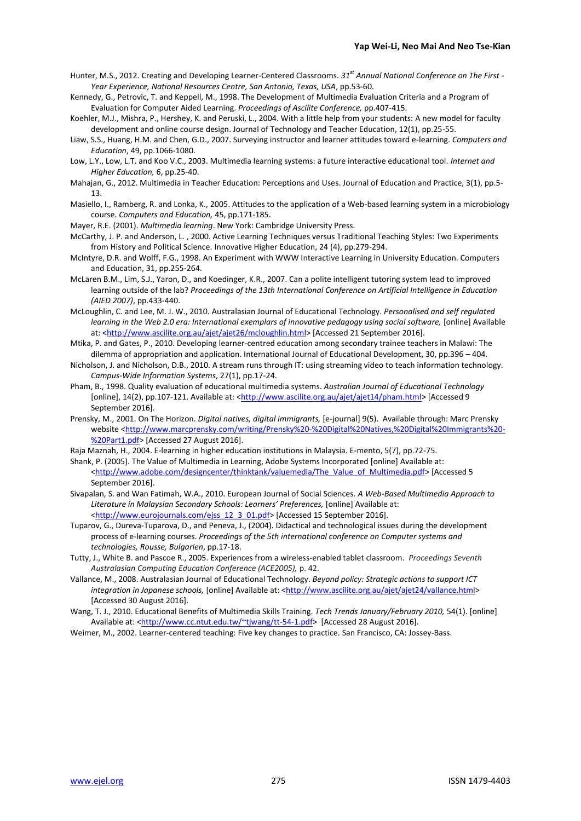- Hunter, M.S., 2012. Creating and Developing Learner-Centered Classrooms. *31st Annual National Conference on The First - Year Experience, National Resources Centre, San Antonio, Texas, USA*, pp.53-60.
- Kennedy, G., Petrovic, T. and Keppell, M., 1998. The Development of Multimedia Evaluation Criteria and a Program of Evaluation for Computer Aided Learning. *Proceedings of Ascilite Conference,* pp.407-415.
- Koehler, M.J., Mishra, P., Hershey, K. and Peruski, L., 2004. With a little help from your students: A new model for faculty development and online course design. Journal of Technology and Teacher Education, 12(1), pp.25-55.
- Liaw, S.S., Huang, H.M. and Chen, G.D., 2007. Surveying instructor and learner attitudes toward e-learning. *Computers and Education*, 49, pp.1066-1080.
- Low, L.Y., Low, L.T. and Koo V.C., 2003. Multimedia learning systems: a future interactive educational tool. *Internet and Higher Education,* 6, pp.25-40.
- Mahajan, G., 2012. Multimedia in Teacher Education: Perceptions and Uses. Journal of Education and Practice, 3(1), pp.5- 13.
- Masiello, I., Ramberg, R. and Lonka, K., 2005. Attitudes to the application of a Web-based learning system in a microbiology course. *Computers and Education,* 45, pp.171-185.
- Mayer, R.E. (2001). *Multimedia learning*. New York: Cambridge University Press.
- McCarthy, J. P. and Anderson, L. , 2000. Active Learning Techniques versus Traditional Teaching Styles: Two Experiments from History and Political Science. Innovative Higher Education, 24 (4), pp.279-294.
- McIntyre, D.R. and Wolff, F.G., 1998. An Experiment with WWW Interactive Learning in University Education. Computers and Education, 31, pp.255-264.
- McLaren B.M., Lim, S.J., Yaron, D., and Koedinger, K.R., 2007. Can a polite intelligent tutoring system lead to improved learning outside of the lab? *Proceedings of the 13th International Conference on Artificial Intelligence in Education (AIED 2007)*, pp.433-440.
- McLoughlin, C. and Lee, M. J. W., 2010. Australasian Journal of Educational Technology. *Personalised and self regulated*  learning in the Web 2.0 era: International exemplars of innovative pedagogy using social software, [online] Available at: [<http://www.ascilite.org.au/ajet/ajet26/mcloughlin.html>](http://www.ascilite.org.au/ajet/ajet26/mcloughlin.html) [Accessed 21 September 2016].
- Mtika, P. and Gates, P., 2010. Developing learner-centred education among secondary trainee teachers in Malawi: The dilemma of appropriation and application. International Journal of Educational Development, 30, pp.396 – 404.
- Nicholson, J. and Nicholson, D.B., 2010. A stream runs through IT: using streaming video to teach information technology. *Campus-Wide Information Systems*, 27(1), pp.17-24.
- Pham, B., 1998. Quality evaluation of educational multimedia systems. *Australian Journal of Educational Technology*  [online], 14(2), pp.107-121. Available at: [<http://www.ascilite.org.au/ajet/ajet14/pham.html>](http://www.ascilite.org.au/ajet/ajet14/pham.html) [Accessed 9 September 2016].
- Prensky, M., 2001. On The Horizon. *Digital natives, digital immigrants,* [e-journal] 9(5). Available through: Marc Prensky website [<http://www.marcprensky.com/writing/Prensky%20-%20Digital%20Natives,%20Digital%20Immigrants%20-](http://www.marcprensky.com/writing/Prensky%20-%20Digital%20Natives,%20Digital%20Immigrants%20-%20Part1.pdf) [%20Part1.pdf>](http://www.marcprensky.com/writing/Prensky%20-%20Digital%20Natives,%20Digital%20Immigrants%20-%20Part1.pdf) [Accessed 27 August 2016].
- Raja Maznah, H., 2004. E-learning in higher education institutions in Malaysia. E-mento, 5(7), pp.72-75.
- Shank, P. (2005). The Value of Multimedia in Learning, Adobe Systems Incorporated [online] Available at: [<http://www.adobe.com/designcenter/thinktank/valuemedia/The\\_Value\\_of\\_Multimedia.pdf>](http://www.adobe.com/designcenter/thinktank/valuemedia/The_Value_of_Multimedia.pdf) [Accessed 5 September 2016].
- Sivapalan, S. and Wan Fatimah, W.A., 2010. European Journal of Social Sciences. *A Web-Based Multimedia Approach to Literature in Malaysian Secondary Schools: Learners' Preferences,* [online] Available at: [<http://www.eurojournals.com/ejss\\_12\\_3\\_01.pdf>](http://www.eurojournals.com/ejss_12_3_01.pdf) [Accessed 15 September 2016].
- Tuparov, G., Dureva-Tuparova, D., and Peneva, J., (2004). Didactical and technological issues during the development process of e-learning courses. *Proceedings of the 5th international conference on Computer systems and technologies, Rousse, Bulgarien*, pp.17-18.
- Tutty, J., White B. and Pascoe R., 2005. Experiences from a wireless-enabled tablet classroom. *Proceedings Seventh Australasian Computing Education Conference (ACE2005),* p. 42.
- Vallance, M., 2008. Australasian Journal of Educational Technology. *Beyond policy: Strategic actions to support ICT*  integration in Japanese schools, [online] Available at: [<http://www.ascilite.org.au/ajet/ajet24/vallance.html>](http://www.ascilite.org.au/ajet/ajet24/vallance.html) [Accessed 30 August 2016].
- Wang, T. J., 2010. Educational Benefits of Multimedia Skills Training. *Tech Trends January/February 2010,* 54(1). [online] Available at: [<http://www.cc.ntut.edu.tw/~tjwang/tt-54-1.pdf>](http://www.cc.ntut.edu.tw/~tjwang/tt-54-1.pdf) [Accessed 28 August 2016].
- Weimer, M., 2002. Learner-centered teaching: Five key changes to practice. San Francisco, CA: Jossey-Bass.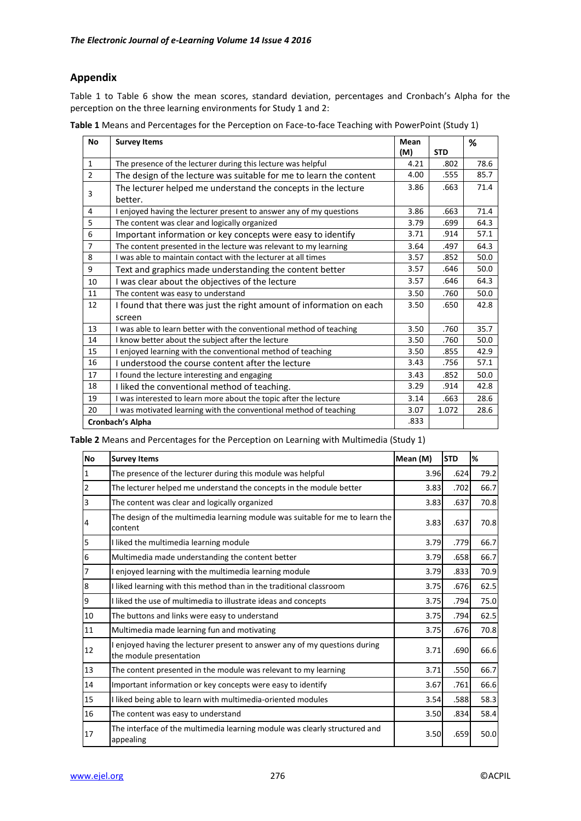# **Appendix**

Table 1 to Table 6 show the mean scores, standard deviation, percentages and Cronbach's Alpha for the perception on the three learning environments for Study 1 and 2:

| Table 1 Means and Percentages for the Perception on Face-to-face Teaching with PowerPoint (Study 1) |  |
|-----------------------------------------------------------------------------------------------------|--|
|-----------------------------------------------------------------------------------------------------|--|

| No             | <b>Survey Items</b>                                                 | Mean |            | %    |
|----------------|---------------------------------------------------------------------|------|------------|------|
|                |                                                                     | (M)  | <b>STD</b> |      |
| $\mathbf{1}$   | The presence of the lecturer during this lecture was helpful        | 4.21 | .802       | 78.6 |
| $\overline{2}$ | The design of the lecture was suitable for me to learn the content  | 4.00 | .555       | 85.7 |
| 3              | The lecturer helped me understand the concepts in the lecture       | 3.86 | .663       | 71.4 |
|                | better.                                                             |      |            |      |
| 4              | I enjoyed having the lecturer present to answer any of my questions | 3.86 | .663       | 71.4 |
| 5              | The content was clear and logically organized                       | 3.79 | .699       | 64.3 |
| 6              | Important information or key concepts were easy to identify         | 3.71 | .914       | 57.1 |
| $\overline{7}$ | The content presented in the lecture was relevant to my learning    | 3.64 | .497       | 64.3 |
| 8              | I was able to maintain contact with the lecturer at all times       | 3.57 | .852       | 50.0 |
| 9              | Text and graphics made understanding the content better             | 3.57 | .646       | 50.0 |
| 10             | I was clear about the objectives of the lecture                     | 3.57 | .646       | 64.3 |
| 11             | The content was easy to understand                                  | 3.50 | .760       | 50.0 |
| 12             | I found that there was just the right amount of information on each | 3.50 | .650       | 42.8 |
|                | screen                                                              |      |            |      |
| 13             | I was able to learn better with the conventional method of teaching | 3.50 | .760       | 35.7 |
| 14             | I know better about the subject after the lecture                   | 3.50 | .760       | 50.0 |
| 15             | I enjoyed learning with the conventional method of teaching         | 3.50 | .855       | 42.9 |
| 16             | I understood the course content after the lecture                   | 3.43 | .756       | 57.1 |
| 17             | I found the lecture interesting and engaging                        | 3.43 | .852       | 50.0 |
| 18             | I liked the conventional method of teaching.                        | 3.29 | .914       | 42.8 |
| 19             | I was interested to learn more about the topic after the lecture    | 3.14 | .663       | 28.6 |
| 20             | I was motivated learning with the conventional method of teaching   | 3.07 | 1.072      | 28.6 |
|                | <b>Cronbach's Alpha</b>                                             | .833 |            |      |

**Table 2** Means and Percentages for the Perception on Learning with Multimedia (Study 1)

| <b>No</b> | <b>Survey Items</b>                                                                                   | Mean (M) | <b>STD</b> | %    |
|-----------|-------------------------------------------------------------------------------------------------------|----------|------------|------|
| 1         | The presence of the lecturer during this module was helpful                                           | 3.96     | .624       | 79.2 |
| 2         | The lecturer helped me understand the concepts in the module better                                   | 3.83     | .702       | 66.7 |
| 3         | The content was clear and logically organized                                                         | 3.83     | .637       | 70.8 |
| 4         | The design of the multimedia learning module was suitable for me to learn the<br>content              | 3.83     | .637       | 70.8 |
| 5         | I liked the multimedia learning module                                                                | 3.79     | .779       | 66.7 |
| 6         | Multimedia made understanding the content better                                                      | 3.79     | .658       | 66.7 |
|           | I enjoyed learning with the multimedia learning module                                                | 3.79     | .833       | 70.9 |
| 8         | I liked learning with this method than in the traditional classroom                                   | 3.75     | .676       | 62.5 |
| 9         | I liked the use of multimedia to illustrate ideas and concepts                                        | 3.75     | .794       | 75.0 |
| 10        | The buttons and links were easy to understand                                                         | 3.75     | .794       | 62.5 |
| 11        | Multimedia made learning fun and motivating                                                           | 3.75     | .676       | 70.8 |
| 12        | I enjoyed having the lecturer present to answer any of my questions during<br>the module presentation | 3.71     | .690       | 66.6 |
| 13        | The content presented in the module was relevant to my learning                                       | 3.71     | .550       | 66.7 |
| 14        | Important information or key concepts were easy to identify                                           | 3.67     | .761       | 66.6 |
| 15        | I liked being able to learn with multimedia-oriented modules                                          | 3.54     | .588       | 58.3 |
| 16        | The content was easy to understand                                                                    | 3.50     | .834       | 58.4 |
| 17        | The interface of the multimedia learning module was clearly structured and<br>appealing               | 3.50     | .659       | 50.0 |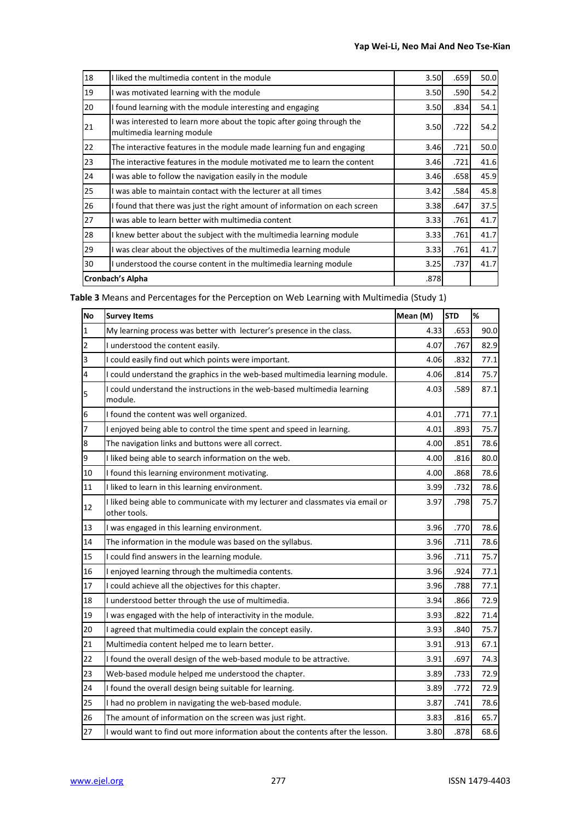| 18                      | I liked the multimedia content in the module                                                       | 3.50 | .659 | 50.0 |
|-------------------------|----------------------------------------------------------------------------------------------------|------|------|------|
| 19                      | was motivated learning with the module                                                             | 3.50 | .590 | 54.2 |
| 20                      | I found learning with the module interesting and engaging                                          | 3.50 | .834 | 54.1 |
| 21                      | was interested to learn more about the topic after going through the<br>multimedia learning module | 3.50 | .722 | 54.2 |
| 22                      | The interactive features in the module made learning fun and engaging                              | 3.46 | .721 | 50.0 |
| 23                      | The interactive features in the module motivated me to learn the content                           | 3.46 | .721 | 41.6 |
| 24                      | was able to follow the navigation easily in the module                                             | 3.46 | .658 | 45.9 |
| 25                      | I was able to maintain contact with the lecturer at all times                                      | 3.42 | .584 | 45.8 |
| 26                      | I found that there was just the right amount of information on each screen                         | 3.38 | .647 | 37.5 |
| 27                      | was able to learn better with multimedia content                                                   | 3.33 | .761 | 41.7 |
| 28                      | knew better about the subject with the multimedia learning module                                  | 3.33 | .761 | 41.7 |
| 29                      | was clear about the objectives of the multimedia learning module                                   | 3.33 | .761 | 41.7 |
| 30                      | I understood the course content in the multimedia learning module                                  | 3.25 | .737 | 41.7 |
| <b>Cronbach's Alpha</b> |                                                                                                    | .878 |      |      |

**Table 3** Means and Percentages for the Perception on Web Learning with Multimedia (Study 1)

| <b>No</b> | <b>Survey Items</b>                                                                            | Mean (M) | <b>STD</b> | %    |
|-----------|------------------------------------------------------------------------------------------------|----------|------------|------|
| 1         | My learning process was better with lecturer's presence in the class.                          | 4.33     | .653       | 90.0 |
| 2         | I understood the content easily.                                                               | 4.07     | .767       | 82.9 |
| 3         | I could easily find out which points were important.                                           | 4.06     | .832       | 77.1 |
| 4         | I could understand the graphics in the web-based multimedia learning module.                   | 4.06     | .814       | 75.7 |
| 5         | I could understand the instructions in the web-based multimedia learning<br>module.            | 4.03     | .589       | 87.1 |
| 6         | I found the content was well organized.                                                        | 4.01     | .771       | 77.1 |
| 7         | I enjoyed being able to control the time spent and speed in learning.                          | 4.01     | .893       | 75.7 |
| 8         | The navigation links and buttons were all correct.                                             | 4.00     | .851       | 78.6 |
| 9         | I liked being able to search information on the web.                                           | 4.00     | .816       | 80.0 |
| 10        | I found this learning environment motivating.                                                  | 4.00     | .868       | 78.6 |
| 11        | I liked to learn in this learning environment.                                                 | 3.99     | .732       | 78.6 |
| 12        | I liked being able to communicate with my lecturer and classmates via email or<br>other tools. | 3.97     | .798       | 75.7 |
| 13        | I was engaged in this learning environment.                                                    | 3.96     | .770       | 78.6 |
| 14        | The information in the module was based on the syllabus.                                       | 3.96     | .711       | 78.6 |
| 15        | I could find answers in the learning module.                                                   | 3.96     | .711       | 75.7 |
| 16        | I enjoyed learning through the multimedia contents.                                            | 3.96     | .924       | 77.1 |
| 17        | I could achieve all the objectives for this chapter.                                           | 3.96     | .788       | 77.1 |
| 18        | I understood better through the use of multimedia.                                             | 3.94     | .866       | 72.9 |
| 19        | I was engaged with the help of interactivity in the module.                                    | 3.93     | .822       | 71.4 |
| 20        | I agreed that multimedia could explain the concept easily.                                     | 3.93     | .840       | 75.7 |
| 21        | Multimedia content helped me to learn better.                                                  | 3.91     | .913       | 67.1 |
| 22        | I found the overall design of the web-based module to be attractive.                           | 3.91     | .697       | 74.3 |
| 23        | Web-based module helped me understood the chapter.                                             | 3.89     | .733       | 72.9 |
| 24        | I found the overall design being suitable for learning.                                        | 3.89     | .772       | 72.9 |
| 25        | I had no problem in navigating the web-based module.                                           | 3.87     | .741       | 78.6 |
| 26        | The amount of information on the screen was just right.                                        | 3.83     | .816       | 65.7 |
| 27        | I would want to find out more information about the contents after the lesson.                 | 3.80     | .878       | 68.6 |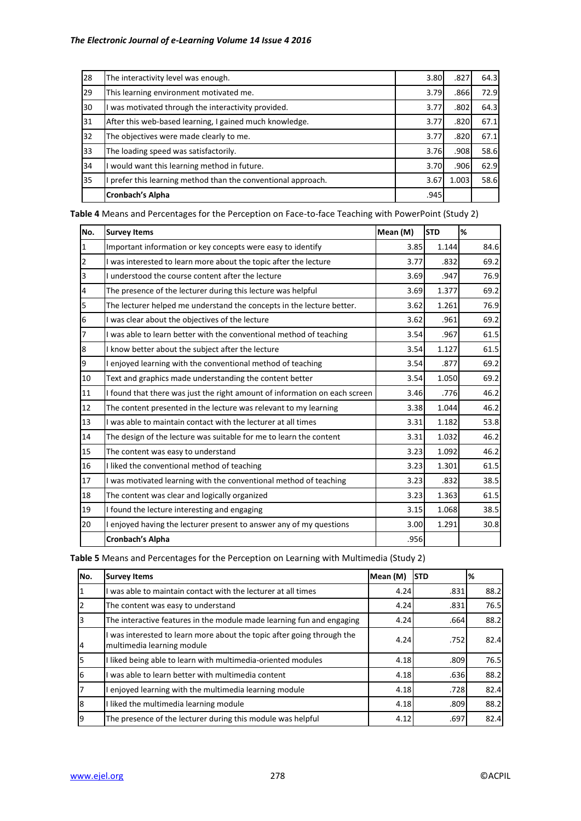| 28 | The interactivity level was enough.                         | 3.80 | .827  | 64.3 |
|----|-------------------------------------------------------------|------|-------|------|
| 29 | This learning environment motivated me.                     | 3.79 | .866  | 72.9 |
| 30 | was motivated through the interactivity provided.           | 3.77 | .802  | 64.3 |
| 31 | After this web-based learning, I gained much knowledge.     | 3.77 | .820  | 67.1 |
| 32 | The objectives were made clearly to me.                     | 3.77 | .820  | 67.1 |
| 33 | The loading speed was satisfactorily.                       | 3.76 | .908  | 58.6 |
| 34 | would want this learning method in future.                  | 3.70 | .906  | 62.9 |
| 35 | prefer this learning method than the conventional approach. | 3.67 | 1.003 | 58.6 |
|    | <b>Cronbach's Alpha</b>                                     | .945 |       |      |

**Table 4** Means and Percentages for the Perception on Face-to-face Teaching with PowerPoint (Study 2)

| No.            | <b>Survey Items</b>                                                        | Mean (M) | <b>STD</b> | %    |
|----------------|----------------------------------------------------------------------------|----------|------------|------|
| $\mathbf{1}$   | Important information or key concepts were easy to identify                | 3.85     | 1.144      | 84.6 |
| $\overline{2}$ | I was interested to learn more about the topic after the lecture           | 3.77     | .832       | 69.2 |
| $\overline{3}$ | I understood the course content after the lecture                          | 3.69     | .947       | 76.9 |
| $\overline{4}$ | The presence of the lecturer during this lecture was helpful               | 3.69     | 1.377      | 69.2 |
| 5              | The lecturer helped me understand the concepts in the lecture better.      | 3.62     | 1.261      | 76.9 |
| 6              | I was clear about the objectives of the lecture                            | 3.62     | .961       | 69.2 |
| $\overline{7}$ | I was able to learn better with the conventional method of teaching        | 3.54     | .967       | 61.5 |
| 8              | I know better about the subject after the lecture                          | 3.54     | 1.127      | 61.5 |
| 9              | I enjoyed learning with the conventional method of teaching                | 3.54     | .877       | 69.2 |
| 10             | Text and graphics made understanding the content better                    | 3.54     | 1.050      | 69.2 |
| 11             | I found that there was just the right amount of information on each screen | 3.46     | .776       | 46.2 |
| 12             | The content presented in the lecture was relevant to my learning           | 3.38     | 1.044      | 46.2 |
| 13             | I was able to maintain contact with the lecturer at all times              | 3.31     | 1.182      | 53.8 |
| 14             | The design of the lecture was suitable for me to learn the content         | 3.31     | 1.032      | 46.2 |
| 15             | The content was easy to understand                                         | 3.23     | 1.092      | 46.2 |
| 16             | I liked the conventional method of teaching                                | 3.23     | 1.301      | 61.5 |
| 17             | I was motivated learning with the conventional method of teaching          | 3.23     | .832       | 38.5 |
| 18             | The content was clear and logically organized                              | 3.23     | 1.363      | 61.5 |
| 19             | I found the lecture interesting and engaging                               | 3.15     | 1.068      | 38.5 |
| 20             | I enjoyed having the lecturer present to answer any of my questions        | 3.00     | 1.291      | 30.8 |
|                | Cronbach's Alpha                                                           | .956     |            |      |

**Table 5** Means and Percentages for the Perception on Learning with Multimedia (Study 2)

| INo. | <b>Survey Items</b>                                                                                  | Mean (M) | <b>STD</b> | %    |
|------|------------------------------------------------------------------------------------------------------|----------|------------|------|
|      | I was able to maintain contact with the lecturer at all times                                        | 4.24     | .831       | 88.2 |
|      | The content was easy to understand                                                                   | 4.24     | .831       | 76.5 |
|      | The interactive features in the module made learning fun and engaging                                | 4.24     | .664       | 88.2 |
| 14   | I was interested to learn more about the topic after going through the<br>multimedia learning module | 4.24     | .752       | 82.4 |
| 5    | I liked being able to learn with multimedia-oriented modules                                         | 4.18     | .809       | 76.5 |
| I6   | I was able to learn better with multimedia content                                                   | 4.18     | .636       | 88.2 |
|      | I enjoyed learning with the multimedia learning module                                               | 4.18     | .728       | 82.4 |
| l8   | I liked the multimedia learning module                                                               | 4.18     | .809       | 88.2 |
| 19   | The presence of the lecturer during this module was helpful                                          | 4.12     | .697       | 82.4 |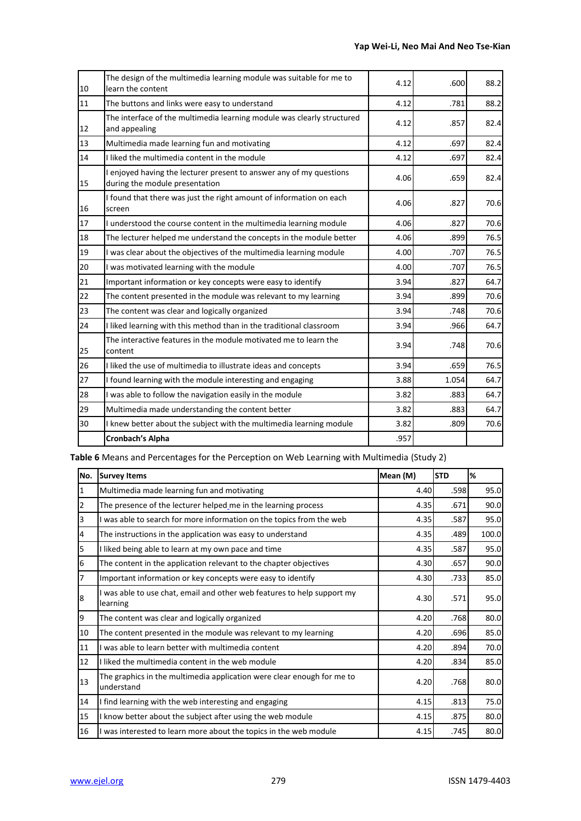| 10 | The design of the multimedia learning module was suitable for me to<br>learn the content              | 4.12 | .600  | 88.2 |
|----|-------------------------------------------------------------------------------------------------------|------|-------|------|
| 11 | The buttons and links were easy to understand                                                         | 4.12 | .781  | 88.2 |
| 12 | The interface of the multimedia learning module was clearly structured<br>and appealing               | 4.12 | .857  | 82.4 |
| 13 | Multimedia made learning fun and motivating                                                           | 4.12 | .697  | 82.4 |
| 14 | I liked the multimedia content in the module                                                          | 4.12 | .697  | 82.4 |
| 15 | I enjoyed having the lecturer present to answer any of my questions<br>during the module presentation | 4.06 | .659  | 82.4 |
| 16 | I found that there was just the right amount of information on each<br>screen                         | 4.06 | .827  | 70.6 |
| 17 | I understood the course content in the multimedia learning module                                     | 4.06 | .827  | 70.6 |
| 18 | The lecturer helped me understand the concepts in the module better                                   | 4.06 | .899  | 76.5 |
| 19 | I was clear about the objectives of the multimedia learning module                                    | 4.00 | .707  | 76.5 |
| 20 | I was motivated learning with the module                                                              | 4.00 | .707  | 76.5 |
| 21 | Important information or key concepts were easy to identify                                           | 3.94 | .827  | 64.7 |
| 22 | The content presented in the module was relevant to my learning                                       | 3.94 | .899  | 70.6 |
| 23 | The content was clear and logically organized                                                         | 3.94 | .748  | 70.6 |
| 24 | I liked learning with this method than in the traditional classroom                                   | 3.94 | .966  | 64.7 |
| 25 | The interactive features in the module motivated me to learn the<br>content                           | 3.94 | .748  | 70.6 |
| 26 | I liked the use of multimedia to illustrate ideas and concepts                                        | 3.94 | .659  | 76.5 |
| 27 | I found learning with the module interesting and engaging                                             | 3.88 | 1.054 | 64.7 |
| 28 | I was able to follow the navigation easily in the module                                              | 3.82 | .883  | 64.7 |
| 29 | Multimedia made understanding the content better                                                      | 3.82 | .883  | 64.7 |
| 30 | I knew better about the subject with the multimedia learning module                                   | 3.82 | .809  | 70.6 |
|    | Cronbach's Alpha                                                                                      | .957 |       |      |
|    |                                                                                                       |      |       |      |

**Table 6** Means and Percentages for the Perception on Web Learning with Multimedia (Study 2)

| No. | <b>Survey Items</b>                                                                  | Mean (M) | <b>STD</b> | %     |
|-----|--------------------------------------------------------------------------------------|----------|------------|-------|
| 1   | Multimedia made learning fun and motivating                                          | 4.40     | .598       | 95.0  |
| 2   | The presence of the lecturer helped me in the learning process                       | 4.35     | .671       | 90.0  |
| 3   | I was able to search for more information on the topics from the web                 | 4.35     | .587       | 95.0  |
| 4   | The instructions in the application was easy to understand                           | 4.35     | .489       | 100.0 |
| 5   | I liked being able to learn at my own pace and time                                  | 4.35     | .587       | 95.0  |
| 6   | The content in the application relevant to the chapter objectives                    | 4.30     | .657       | 90.0  |
| 7   | Important information or key concepts were easy to identify                          | 4.30     | .733       | 85.0  |
| 8   | I was able to use chat, email and other web features to help support my<br>learning  | 4.30     | .571       | 95.0  |
| 9   | The content was clear and logically organized                                        | 4.20     | .768       | 80.0  |
| 10  | The content presented in the module was relevant to my learning                      | 4.20     | .696       | 85.0  |
| 11  | I was able to learn better with multimedia content                                   | 4.20     | .894       | 70.0  |
| 12  | I liked the multimedia content in the web module                                     | 4.20     | .834       | 85.0  |
| 13  | The graphics in the multimedia application were clear enough for me to<br>understand | 4.20     | .768       | 80.0  |
| 14  | I find learning with the web interesting and engaging                                | 4.15     | .813       | 75.0  |
| 15  | know better about the subject after using the web module                             | 4.15     | .875       | 80.0  |
| 16  | I was interested to learn more about the topics in the web module                    | 4.15     | .745       | 80.0  |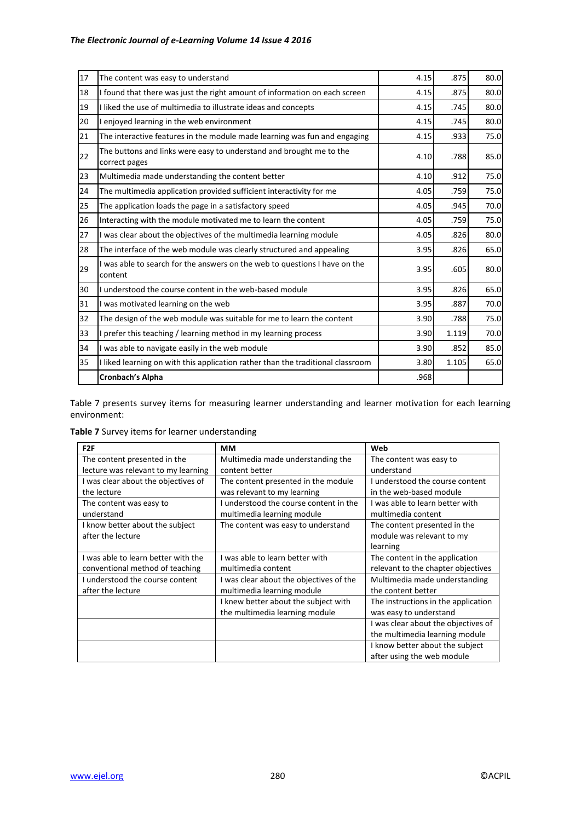| 17 | The content was easy to understand                                                    | 4.15 | .875  | 80.0 |
|----|---------------------------------------------------------------------------------------|------|-------|------|
| 18 | I found that there was just the right amount of information on each screen            | 4.15 | .875  | 80.0 |
| 19 | I liked the use of multimedia to illustrate ideas and concepts                        | 4.15 | .745  | 80.0 |
| 20 | I enjoyed learning in the web environment                                             | 4.15 | .745  | 80.0 |
| 21 | The interactive features in the module made learning was fun and engaging             | 4.15 | .933  | 75.0 |
| 22 | The buttons and links were easy to understand and brought me to the<br>correct pages  | 4.10 | .788  | 85.0 |
| 23 | Multimedia made understanding the content better                                      | 4.10 | .912  | 75.0 |
| 24 | The multimedia application provided sufficient interactivity for me                   | 4.05 | .759  | 75.0 |
| 25 | The application loads the page in a satisfactory speed                                | 4.05 | .945  | 70.0 |
| 26 | Interacting with the module motivated me to learn the content                         | 4.05 | .759  | 75.0 |
| 27 | I was clear about the objectives of the multimedia learning module                    | 4.05 | .826  | 80.0 |
| 28 | The interface of the web module was clearly structured and appealing                  | 3.95 | .826  | 65.0 |
| 29 | I was able to search for the answers on the web to questions I have on the<br>content | 3.95 | .605  | 80.0 |
| 30 | I understood the course content in the web-based module                               | 3.95 | .826  | 65.0 |
| 31 | I was motivated learning on the web                                                   | 3.95 | .887  | 70.0 |
| 32 | The design of the web module was suitable for me to learn the content                 | 3.90 | .788  | 75.0 |
| 33 | prefer this teaching / learning method in my learning process                         | 3.90 | 1.119 | 70.0 |
| 34 | I was able to navigate easily in the web module                                       | 3.90 | .852  | 85.0 |
| 35 | I liked learning on with this application rather than the traditional classroom       | 3.80 | 1.105 | 65.0 |
|    | Cronbach's Alpha                                                                      | .968 |       |      |

Table 7 presents survey items for measuring learner understanding and learner motivation for each learning environment:

**Table 7** Survey items for learner understanding

| F <sub>2F</sub>                     | ΜМ                                      | Web                                 |
|-------------------------------------|-----------------------------------------|-------------------------------------|
| The content presented in the        | Multimedia made understanding the       | The content was easy to             |
| lecture was relevant to my learning | content better                          | understand                          |
| I was clear about the objectives of | The content presented in the module     | I understood the course content     |
| the lecture                         | was relevant to my learning             | in the web-based module             |
| The content was easy to             | understood the course content in the    | I was able to learn better with     |
| understand                          | multimedia learning module              | multimedia content                  |
| I know better about the subject     | The content was easy to understand      | The content presented in the        |
| after the lecture                   |                                         | module was relevant to my           |
|                                     |                                         | learning                            |
| I was able to learn better with the | I was able to learn better with         | The content in the application      |
| conventional method of teaching     | multimedia content                      | relevant to the chapter objectives  |
| I understood the course content     | I was clear about the objectives of the | Multimedia made understanding       |
| after the lecture                   | multimedia learning module              | the content better                  |
|                                     | I knew better about the subject with    | The instructions in the application |
|                                     | the multimedia learning module          | was easy to understand              |
|                                     |                                         | I was clear about the objectives of |
|                                     |                                         | the multimedia learning module      |
|                                     |                                         | I know better about the subject     |
|                                     |                                         | after using the web module          |